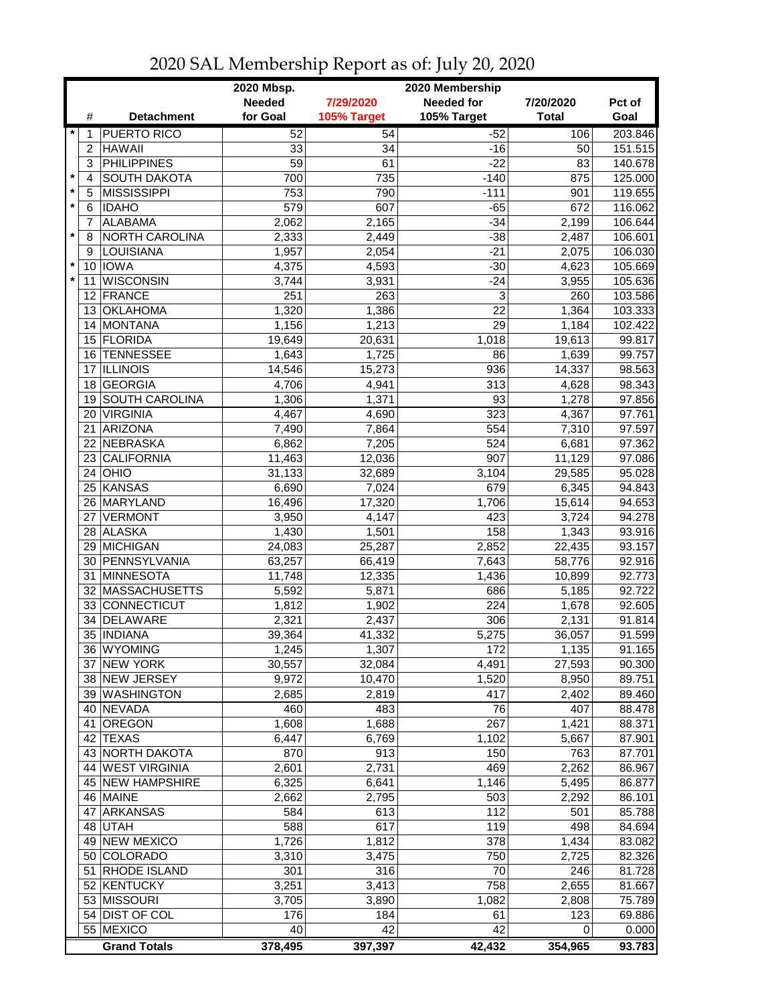| <b>Needed</b><br><b>Needed for</b><br>7/29/2020<br>7/20/2020<br>Pct of<br>for Goal<br>105% Target<br>105% Target<br><b>Total</b><br>Goal<br>#<br><b>Detachment</b><br><b>PUERTO RICO</b><br>52<br>$-52$<br>203.846<br>54<br>106<br>1<br><b>HAWAII</b><br>33<br>151.515<br>2<br>34<br>$-16$<br>50<br><b>PHILIPPINES</b><br>3<br>59<br>$-22$<br>140.678<br>61<br>83<br>$\pmb{\ast}$<br><b>SOUTH DAKOTA</b><br>735<br>875<br>125.000<br>$\overline{4}$<br>700<br>$-140$<br>$\star$<br><b>MISSISSIPPI</b><br>790<br>$-111$<br>119.655<br>5<br>753<br>901<br>$\star$<br>607<br><b>IDAHO</b><br>579<br>$-65$<br>672<br>6<br>$\overline{7}$<br><b>ALABAMA</b><br>2,062<br>$-34$<br>106.644<br>2,165<br>2,199<br>$\star$<br><b>NORTH CAROLINA</b><br>$-38$<br>8<br>2,333<br>2,449<br>2,487<br>106.601<br>$-21$<br>LOUISIANA<br>1,957<br>2,054<br>9<br>2,075<br>106.030<br>$\star$<br>10 IOWA<br>4,593<br>$-30$<br>4,375<br>4,623<br>105.669<br>$\star$<br><b>WISCONSIN</b><br>3,931<br>$-24$<br>3,744<br>3,955<br>105.636<br>11<br>251<br>263<br>3<br>12 FRANCE<br>260<br>103.586<br>1,320<br>22<br>13 OKLAHOMA<br>1,386<br>1,364<br>103.333<br>29<br>14 MONTANA<br>1,156<br>1,213<br>1,184<br>102.422<br>15 FLORIDA<br>19,649<br>20,631<br>1,018<br>19,613<br>99.817<br>16 TENNESSEE<br>1,725<br>86<br>1,639<br>99.757<br>1,643<br><b>ILLINOIS</b><br>936<br>98.563<br>17<br>14,546<br>15,273<br>14,337<br>18 GEORGIA<br>4,706<br>313<br>98.343<br>4,941<br>4,628<br><b>SOUTH CAROLINA</b><br>93<br>1,278<br>97.856<br>1,306<br>1,371<br>19<br><b>VIRGINIA</b><br>97.761<br>20<br>4,467<br>323<br>4,367<br>4,690<br><b>ARIZONA</b><br>554<br>97.597<br>21<br>7,310<br>7,490<br>7,864<br>NEBRASKA<br>524<br>97.362<br>22<br>6,862<br>7,205<br>6,681<br><b>CALIFORNIA</b><br>907<br>23<br>11,463<br>12,036<br>11,129<br>97.086<br>3,104<br>$24$ OHIO<br>31,133<br>32,689<br>29,585<br>95.028<br>25 KANSAS<br>679<br>6,690<br>7,024<br>6,345<br>94.843<br>26 MARYLAND<br>16,496<br>17,320<br>1,706<br>94.653<br>15,614<br>27 VERMONT<br>423<br>94.278<br>3,950<br>4,147<br>3,724<br>158<br>28 ALASKA<br>1,430<br>1,501<br>1,343<br>93.916<br>29 MICHIGAN<br>24,083<br>25,287<br>2,852<br>93.157<br>22,435<br>30 PENNSYLVANIA<br>63,257<br>66,419<br>7,643<br>92.916<br>58,776<br>31 MINNESOTA<br>92.773<br>11,748<br>12,335<br>1,436<br>10,899<br>686<br>32 MASSACHUSETTS<br>5,592<br>5,871<br>5,185<br>92.722<br>224<br>33 CONNECTICUT<br>1,812<br>1,902<br>1,678<br>92.605<br>DELAWARE<br>2,321<br>306<br>2,131<br>91.814<br>34<br>2,437<br>35   INDIANA<br>5,275<br>91.599<br>39,364<br>41,332<br>36,057<br>36 WYOMING<br>1,245<br>1,307<br>172<br>1,135<br>91.165<br>37 NEW YORK<br>4,491<br>27,593<br>90.300<br>30,557<br>32,084<br>38 NEW JERSEY<br>89.751<br>9,972<br>10,470<br>1,520<br>8,950<br>39 WASHINGTON<br>417<br>89.460<br>2,685<br>2,819<br>2,402<br>40 NEVADA<br>460<br>483<br>76<br>407<br>88.478<br>41 OREGON<br>267<br>1,608<br>1,688<br>1,421<br>88.371<br>6,447<br>6,769<br>42 TEXAS<br>1,102<br>5,667<br>87.901<br>43 NORTH DAKOTA<br>913<br>150<br>870<br>763<br>87.701<br>44 WEST VIRGINIA<br>469<br>2,601<br>2,731<br>2,262<br>86.967<br>45 NEW HAMPSHIRE<br>6,325<br>6,641<br>1,146<br>86.877<br>5,495<br>46 MAINE<br>2,662<br>2,795<br>503<br>2,292<br>86.101<br>47 ARKANSAS<br>613<br>112<br>584<br>85.788<br>501<br>48 UTAH<br>588<br>617<br>119<br>498<br>84.694<br>49 NEW MEXICO<br>1,726<br>1,812<br>378<br>1,434<br>83.082<br>50 COLORADO<br>3,310<br>3,475<br>750<br>2,725<br>82.326<br>51 RHODE ISLAND<br>301<br>316<br>70<br>246<br>81.728<br>52 KENTUCKY<br>3,251<br>3,413<br>758<br>81.667<br>2,655<br>53 MISSOURI<br>3,705<br>1,082<br>2,808<br>75.789<br>3,890<br>54 DIST OF COL<br>123<br>69.886<br>176<br>184<br>61<br>42<br>55 MEXICO<br>40<br>42<br>0.000<br>0<br><b>Grand Totals</b><br>378,495<br>397,397<br>42,432<br>354,965<br>93.783 |  | 2020 Mbsp.<br>2020 Membership |  |  |  |         |  |
|--------------------------------------------------------------------------------------------------------------------------------------------------------------------------------------------------------------------------------------------------------------------------------------------------------------------------------------------------------------------------------------------------------------------------------------------------------------------------------------------------------------------------------------------------------------------------------------------------------------------------------------------------------------------------------------------------------------------------------------------------------------------------------------------------------------------------------------------------------------------------------------------------------------------------------------------------------------------------------------------------------------------------------------------------------------------------------------------------------------------------------------------------------------------------------------------------------------------------------------------------------------------------------------------------------------------------------------------------------------------------------------------------------------------------------------------------------------------------------------------------------------------------------------------------------------------------------------------------------------------------------------------------------------------------------------------------------------------------------------------------------------------------------------------------------------------------------------------------------------------------------------------------------------------------------------------------------------------------------------------------------------------------------------------------------------------------------------------------------------------------------------------------------------------------------------------------------------------------------------------------------------------------------------------------------------------------------------------------------------------------------------------------------------------------------------------------------------------------------------------------------------------------------------------------------------------------------------------------------------------------------------------------------------------------------------------------------------------------------------------------------------------------------------------------------------------------------------------------------------------------------------------------------------------------------------------------------------------------------------------------------------------------------------------------------------------------------------------------------------------------------------------------------------------------------------------------------------------------------------------------------------------------------------------------------------------------------------------------------------------------------------------------------------------------------------------------------------------------------------------------------------------------------------------------------------------------------------------------------------------------------------------------------------------------------------------------------------------------------------------------------------------------------------------------------------------------------------------------------------------------------|--|-------------------------------|--|--|--|---------|--|
|                                                                                                                                                                                                                                                                                                                                                                                                                                                                                                                                                                                                                                                                                                                                                                                                                                                                                                                                                                                                                                                                                                                                                                                                                                                                                                                                                                                                                                                                                                                                                                                                                                                                                                                                                                                                                                                                                                                                                                                                                                                                                                                                                                                                                                                                                                                                                                                                                                                                                                                                                                                                                                                                                                                                                                                                                                                                                                                                                                                                                                                                                                                                                                                                                                                                                                                                                                                                                                                                                                                                                                                                                                                                                                                                                                                                                                                                                |  |                               |  |  |  |         |  |
|                                                                                                                                                                                                                                                                                                                                                                                                                                                                                                                                                                                                                                                                                                                                                                                                                                                                                                                                                                                                                                                                                                                                                                                                                                                                                                                                                                                                                                                                                                                                                                                                                                                                                                                                                                                                                                                                                                                                                                                                                                                                                                                                                                                                                                                                                                                                                                                                                                                                                                                                                                                                                                                                                                                                                                                                                                                                                                                                                                                                                                                                                                                                                                                                                                                                                                                                                                                                                                                                                                                                                                                                                                                                                                                                                                                                                                                                                |  |                               |  |  |  |         |  |
|                                                                                                                                                                                                                                                                                                                                                                                                                                                                                                                                                                                                                                                                                                                                                                                                                                                                                                                                                                                                                                                                                                                                                                                                                                                                                                                                                                                                                                                                                                                                                                                                                                                                                                                                                                                                                                                                                                                                                                                                                                                                                                                                                                                                                                                                                                                                                                                                                                                                                                                                                                                                                                                                                                                                                                                                                                                                                                                                                                                                                                                                                                                                                                                                                                                                                                                                                                                                                                                                                                                                                                                                                                                                                                                                                                                                                                                                                |  |                               |  |  |  |         |  |
|                                                                                                                                                                                                                                                                                                                                                                                                                                                                                                                                                                                                                                                                                                                                                                                                                                                                                                                                                                                                                                                                                                                                                                                                                                                                                                                                                                                                                                                                                                                                                                                                                                                                                                                                                                                                                                                                                                                                                                                                                                                                                                                                                                                                                                                                                                                                                                                                                                                                                                                                                                                                                                                                                                                                                                                                                                                                                                                                                                                                                                                                                                                                                                                                                                                                                                                                                                                                                                                                                                                                                                                                                                                                                                                                                                                                                                                                                |  |                               |  |  |  |         |  |
|                                                                                                                                                                                                                                                                                                                                                                                                                                                                                                                                                                                                                                                                                                                                                                                                                                                                                                                                                                                                                                                                                                                                                                                                                                                                                                                                                                                                                                                                                                                                                                                                                                                                                                                                                                                                                                                                                                                                                                                                                                                                                                                                                                                                                                                                                                                                                                                                                                                                                                                                                                                                                                                                                                                                                                                                                                                                                                                                                                                                                                                                                                                                                                                                                                                                                                                                                                                                                                                                                                                                                                                                                                                                                                                                                                                                                                                                                |  |                               |  |  |  |         |  |
|                                                                                                                                                                                                                                                                                                                                                                                                                                                                                                                                                                                                                                                                                                                                                                                                                                                                                                                                                                                                                                                                                                                                                                                                                                                                                                                                                                                                                                                                                                                                                                                                                                                                                                                                                                                                                                                                                                                                                                                                                                                                                                                                                                                                                                                                                                                                                                                                                                                                                                                                                                                                                                                                                                                                                                                                                                                                                                                                                                                                                                                                                                                                                                                                                                                                                                                                                                                                                                                                                                                                                                                                                                                                                                                                                                                                                                                                                |  |                               |  |  |  |         |  |
|                                                                                                                                                                                                                                                                                                                                                                                                                                                                                                                                                                                                                                                                                                                                                                                                                                                                                                                                                                                                                                                                                                                                                                                                                                                                                                                                                                                                                                                                                                                                                                                                                                                                                                                                                                                                                                                                                                                                                                                                                                                                                                                                                                                                                                                                                                                                                                                                                                                                                                                                                                                                                                                                                                                                                                                                                                                                                                                                                                                                                                                                                                                                                                                                                                                                                                                                                                                                                                                                                                                                                                                                                                                                                                                                                                                                                                                                                |  |                               |  |  |  |         |  |
|                                                                                                                                                                                                                                                                                                                                                                                                                                                                                                                                                                                                                                                                                                                                                                                                                                                                                                                                                                                                                                                                                                                                                                                                                                                                                                                                                                                                                                                                                                                                                                                                                                                                                                                                                                                                                                                                                                                                                                                                                                                                                                                                                                                                                                                                                                                                                                                                                                                                                                                                                                                                                                                                                                                                                                                                                                                                                                                                                                                                                                                                                                                                                                                                                                                                                                                                                                                                                                                                                                                                                                                                                                                                                                                                                                                                                                                                                |  |                               |  |  |  | 116.062 |  |
|                                                                                                                                                                                                                                                                                                                                                                                                                                                                                                                                                                                                                                                                                                                                                                                                                                                                                                                                                                                                                                                                                                                                                                                                                                                                                                                                                                                                                                                                                                                                                                                                                                                                                                                                                                                                                                                                                                                                                                                                                                                                                                                                                                                                                                                                                                                                                                                                                                                                                                                                                                                                                                                                                                                                                                                                                                                                                                                                                                                                                                                                                                                                                                                                                                                                                                                                                                                                                                                                                                                                                                                                                                                                                                                                                                                                                                                                                |  |                               |  |  |  |         |  |
|                                                                                                                                                                                                                                                                                                                                                                                                                                                                                                                                                                                                                                                                                                                                                                                                                                                                                                                                                                                                                                                                                                                                                                                                                                                                                                                                                                                                                                                                                                                                                                                                                                                                                                                                                                                                                                                                                                                                                                                                                                                                                                                                                                                                                                                                                                                                                                                                                                                                                                                                                                                                                                                                                                                                                                                                                                                                                                                                                                                                                                                                                                                                                                                                                                                                                                                                                                                                                                                                                                                                                                                                                                                                                                                                                                                                                                                                                |  |                               |  |  |  |         |  |
|                                                                                                                                                                                                                                                                                                                                                                                                                                                                                                                                                                                                                                                                                                                                                                                                                                                                                                                                                                                                                                                                                                                                                                                                                                                                                                                                                                                                                                                                                                                                                                                                                                                                                                                                                                                                                                                                                                                                                                                                                                                                                                                                                                                                                                                                                                                                                                                                                                                                                                                                                                                                                                                                                                                                                                                                                                                                                                                                                                                                                                                                                                                                                                                                                                                                                                                                                                                                                                                                                                                                                                                                                                                                                                                                                                                                                                                                                |  |                               |  |  |  |         |  |
|                                                                                                                                                                                                                                                                                                                                                                                                                                                                                                                                                                                                                                                                                                                                                                                                                                                                                                                                                                                                                                                                                                                                                                                                                                                                                                                                                                                                                                                                                                                                                                                                                                                                                                                                                                                                                                                                                                                                                                                                                                                                                                                                                                                                                                                                                                                                                                                                                                                                                                                                                                                                                                                                                                                                                                                                                                                                                                                                                                                                                                                                                                                                                                                                                                                                                                                                                                                                                                                                                                                                                                                                                                                                                                                                                                                                                                                                                |  |                               |  |  |  |         |  |
|                                                                                                                                                                                                                                                                                                                                                                                                                                                                                                                                                                                                                                                                                                                                                                                                                                                                                                                                                                                                                                                                                                                                                                                                                                                                                                                                                                                                                                                                                                                                                                                                                                                                                                                                                                                                                                                                                                                                                                                                                                                                                                                                                                                                                                                                                                                                                                                                                                                                                                                                                                                                                                                                                                                                                                                                                                                                                                                                                                                                                                                                                                                                                                                                                                                                                                                                                                                                                                                                                                                                                                                                                                                                                                                                                                                                                                                                                |  |                               |  |  |  |         |  |
|                                                                                                                                                                                                                                                                                                                                                                                                                                                                                                                                                                                                                                                                                                                                                                                                                                                                                                                                                                                                                                                                                                                                                                                                                                                                                                                                                                                                                                                                                                                                                                                                                                                                                                                                                                                                                                                                                                                                                                                                                                                                                                                                                                                                                                                                                                                                                                                                                                                                                                                                                                                                                                                                                                                                                                                                                                                                                                                                                                                                                                                                                                                                                                                                                                                                                                                                                                                                                                                                                                                                                                                                                                                                                                                                                                                                                                                                                |  |                               |  |  |  |         |  |
|                                                                                                                                                                                                                                                                                                                                                                                                                                                                                                                                                                                                                                                                                                                                                                                                                                                                                                                                                                                                                                                                                                                                                                                                                                                                                                                                                                                                                                                                                                                                                                                                                                                                                                                                                                                                                                                                                                                                                                                                                                                                                                                                                                                                                                                                                                                                                                                                                                                                                                                                                                                                                                                                                                                                                                                                                                                                                                                                                                                                                                                                                                                                                                                                                                                                                                                                                                                                                                                                                                                                                                                                                                                                                                                                                                                                                                                                                |  |                               |  |  |  |         |  |
|                                                                                                                                                                                                                                                                                                                                                                                                                                                                                                                                                                                                                                                                                                                                                                                                                                                                                                                                                                                                                                                                                                                                                                                                                                                                                                                                                                                                                                                                                                                                                                                                                                                                                                                                                                                                                                                                                                                                                                                                                                                                                                                                                                                                                                                                                                                                                                                                                                                                                                                                                                                                                                                                                                                                                                                                                                                                                                                                                                                                                                                                                                                                                                                                                                                                                                                                                                                                                                                                                                                                                                                                                                                                                                                                                                                                                                                                                |  |                               |  |  |  |         |  |
|                                                                                                                                                                                                                                                                                                                                                                                                                                                                                                                                                                                                                                                                                                                                                                                                                                                                                                                                                                                                                                                                                                                                                                                                                                                                                                                                                                                                                                                                                                                                                                                                                                                                                                                                                                                                                                                                                                                                                                                                                                                                                                                                                                                                                                                                                                                                                                                                                                                                                                                                                                                                                                                                                                                                                                                                                                                                                                                                                                                                                                                                                                                                                                                                                                                                                                                                                                                                                                                                                                                                                                                                                                                                                                                                                                                                                                                                                |  |                               |  |  |  |         |  |
|                                                                                                                                                                                                                                                                                                                                                                                                                                                                                                                                                                                                                                                                                                                                                                                                                                                                                                                                                                                                                                                                                                                                                                                                                                                                                                                                                                                                                                                                                                                                                                                                                                                                                                                                                                                                                                                                                                                                                                                                                                                                                                                                                                                                                                                                                                                                                                                                                                                                                                                                                                                                                                                                                                                                                                                                                                                                                                                                                                                                                                                                                                                                                                                                                                                                                                                                                                                                                                                                                                                                                                                                                                                                                                                                                                                                                                                                                |  |                               |  |  |  |         |  |
|                                                                                                                                                                                                                                                                                                                                                                                                                                                                                                                                                                                                                                                                                                                                                                                                                                                                                                                                                                                                                                                                                                                                                                                                                                                                                                                                                                                                                                                                                                                                                                                                                                                                                                                                                                                                                                                                                                                                                                                                                                                                                                                                                                                                                                                                                                                                                                                                                                                                                                                                                                                                                                                                                                                                                                                                                                                                                                                                                                                                                                                                                                                                                                                                                                                                                                                                                                                                                                                                                                                                                                                                                                                                                                                                                                                                                                                                                |  |                               |  |  |  |         |  |
|                                                                                                                                                                                                                                                                                                                                                                                                                                                                                                                                                                                                                                                                                                                                                                                                                                                                                                                                                                                                                                                                                                                                                                                                                                                                                                                                                                                                                                                                                                                                                                                                                                                                                                                                                                                                                                                                                                                                                                                                                                                                                                                                                                                                                                                                                                                                                                                                                                                                                                                                                                                                                                                                                                                                                                                                                                                                                                                                                                                                                                                                                                                                                                                                                                                                                                                                                                                                                                                                                                                                                                                                                                                                                                                                                                                                                                                                                |  |                               |  |  |  |         |  |
|                                                                                                                                                                                                                                                                                                                                                                                                                                                                                                                                                                                                                                                                                                                                                                                                                                                                                                                                                                                                                                                                                                                                                                                                                                                                                                                                                                                                                                                                                                                                                                                                                                                                                                                                                                                                                                                                                                                                                                                                                                                                                                                                                                                                                                                                                                                                                                                                                                                                                                                                                                                                                                                                                                                                                                                                                                                                                                                                                                                                                                                                                                                                                                                                                                                                                                                                                                                                                                                                                                                                                                                                                                                                                                                                                                                                                                                                                |  |                               |  |  |  |         |  |
|                                                                                                                                                                                                                                                                                                                                                                                                                                                                                                                                                                                                                                                                                                                                                                                                                                                                                                                                                                                                                                                                                                                                                                                                                                                                                                                                                                                                                                                                                                                                                                                                                                                                                                                                                                                                                                                                                                                                                                                                                                                                                                                                                                                                                                                                                                                                                                                                                                                                                                                                                                                                                                                                                                                                                                                                                                                                                                                                                                                                                                                                                                                                                                                                                                                                                                                                                                                                                                                                                                                                                                                                                                                                                                                                                                                                                                                                                |  |                               |  |  |  |         |  |
|                                                                                                                                                                                                                                                                                                                                                                                                                                                                                                                                                                                                                                                                                                                                                                                                                                                                                                                                                                                                                                                                                                                                                                                                                                                                                                                                                                                                                                                                                                                                                                                                                                                                                                                                                                                                                                                                                                                                                                                                                                                                                                                                                                                                                                                                                                                                                                                                                                                                                                                                                                                                                                                                                                                                                                                                                                                                                                                                                                                                                                                                                                                                                                                                                                                                                                                                                                                                                                                                                                                                                                                                                                                                                                                                                                                                                                                                                |  |                               |  |  |  |         |  |
|                                                                                                                                                                                                                                                                                                                                                                                                                                                                                                                                                                                                                                                                                                                                                                                                                                                                                                                                                                                                                                                                                                                                                                                                                                                                                                                                                                                                                                                                                                                                                                                                                                                                                                                                                                                                                                                                                                                                                                                                                                                                                                                                                                                                                                                                                                                                                                                                                                                                                                                                                                                                                                                                                                                                                                                                                                                                                                                                                                                                                                                                                                                                                                                                                                                                                                                                                                                                                                                                                                                                                                                                                                                                                                                                                                                                                                                                                |  |                               |  |  |  |         |  |
|                                                                                                                                                                                                                                                                                                                                                                                                                                                                                                                                                                                                                                                                                                                                                                                                                                                                                                                                                                                                                                                                                                                                                                                                                                                                                                                                                                                                                                                                                                                                                                                                                                                                                                                                                                                                                                                                                                                                                                                                                                                                                                                                                                                                                                                                                                                                                                                                                                                                                                                                                                                                                                                                                                                                                                                                                                                                                                                                                                                                                                                                                                                                                                                                                                                                                                                                                                                                                                                                                                                                                                                                                                                                                                                                                                                                                                                                                |  |                               |  |  |  |         |  |
|                                                                                                                                                                                                                                                                                                                                                                                                                                                                                                                                                                                                                                                                                                                                                                                                                                                                                                                                                                                                                                                                                                                                                                                                                                                                                                                                                                                                                                                                                                                                                                                                                                                                                                                                                                                                                                                                                                                                                                                                                                                                                                                                                                                                                                                                                                                                                                                                                                                                                                                                                                                                                                                                                                                                                                                                                                                                                                                                                                                                                                                                                                                                                                                                                                                                                                                                                                                                                                                                                                                                                                                                                                                                                                                                                                                                                                                                                |  |                               |  |  |  |         |  |
|                                                                                                                                                                                                                                                                                                                                                                                                                                                                                                                                                                                                                                                                                                                                                                                                                                                                                                                                                                                                                                                                                                                                                                                                                                                                                                                                                                                                                                                                                                                                                                                                                                                                                                                                                                                                                                                                                                                                                                                                                                                                                                                                                                                                                                                                                                                                                                                                                                                                                                                                                                                                                                                                                                                                                                                                                                                                                                                                                                                                                                                                                                                                                                                                                                                                                                                                                                                                                                                                                                                                                                                                                                                                                                                                                                                                                                                                                |  |                               |  |  |  |         |  |
|                                                                                                                                                                                                                                                                                                                                                                                                                                                                                                                                                                                                                                                                                                                                                                                                                                                                                                                                                                                                                                                                                                                                                                                                                                                                                                                                                                                                                                                                                                                                                                                                                                                                                                                                                                                                                                                                                                                                                                                                                                                                                                                                                                                                                                                                                                                                                                                                                                                                                                                                                                                                                                                                                                                                                                                                                                                                                                                                                                                                                                                                                                                                                                                                                                                                                                                                                                                                                                                                                                                                                                                                                                                                                                                                                                                                                                                                                |  |                               |  |  |  |         |  |
|                                                                                                                                                                                                                                                                                                                                                                                                                                                                                                                                                                                                                                                                                                                                                                                                                                                                                                                                                                                                                                                                                                                                                                                                                                                                                                                                                                                                                                                                                                                                                                                                                                                                                                                                                                                                                                                                                                                                                                                                                                                                                                                                                                                                                                                                                                                                                                                                                                                                                                                                                                                                                                                                                                                                                                                                                                                                                                                                                                                                                                                                                                                                                                                                                                                                                                                                                                                                                                                                                                                                                                                                                                                                                                                                                                                                                                                                                |  |                               |  |  |  |         |  |
|                                                                                                                                                                                                                                                                                                                                                                                                                                                                                                                                                                                                                                                                                                                                                                                                                                                                                                                                                                                                                                                                                                                                                                                                                                                                                                                                                                                                                                                                                                                                                                                                                                                                                                                                                                                                                                                                                                                                                                                                                                                                                                                                                                                                                                                                                                                                                                                                                                                                                                                                                                                                                                                                                                                                                                                                                                                                                                                                                                                                                                                                                                                                                                                                                                                                                                                                                                                                                                                                                                                                                                                                                                                                                                                                                                                                                                                                                |  |                               |  |  |  |         |  |
|                                                                                                                                                                                                                                                                                                                                                                                                                                                                                                                                                                                                                                                                                                                                                                                                                                                                                                                                                                                                                                                                                                                                                                                                                                                                                                                                                                                                                                                                                                                                                                                                                                                                                                                                                                                                                                                                                                                                                                                                                                                                                                                                                                                                                                                                                                                                                                                                                                                                                                                                                                                                                                                                                                                                                                                                                                                                                                                                                                                                                                                                                                                                                                                                                                                                                                                                                                                                                                                                                                                                                                                                                                                                                                                                                                                                                                                                                |  |                               |  |  |  |         |  |
|                                                                                                                                                                                                                                                                                                                                                                                                                                                                                                                                                                                                                                                                                                                                                                                                                                                                                                                                                                                                                                                                                                                                                                                                                                                                                                                                                                                                                                                                                                                                                                                                                                                                                                                                                                                                                                                                                                                                                                                                                                                                                                                                                                                                                                                                                                                                                                                                                                                                                                                                                                                                                                                                                                                                                                                                                                                                                                                                                                                                                                                                                                                                                                                                                                                                                                                                                                                                                                                                                                                                                                                                                                                                                                                                                                                                                                                                                |  |                               |  |  |  |         |  |
|                                                                                                                                                                                                                                                                                                                                                                                                                                                                                                                                                                                                                                                                                                                                                                                                                                                                                                                                                                                                                                                                                                                                                                                                                                                                                                                                                                                                                                                                                                                                                                                                                                                                                                                                                                                                                                                                                                                                                                                                                                                                                                                                                                                                                                                                                                                                                                                                                                                                                                                                                                                                                                                                                                                                                                                                                                                                                                                                                                                                                                                                                                                                                                                                                                                                                                                                                                                                                                                                                                                                                                                                                                                                                                                                                                                                                                                                                |  |                               |  |  |  |         |  |
|                                                                                                                                                                                                                                                                                                                                                                                                                                                                                                                                                                                                                                                                                                                                                                                                                                                                                                                                                                                                                                                                                                                                                                                                                                                                                                                                                                                                                                                                                                                                                                                                                                                                                                                                                                                                                                                                                                                                                                                                                                                                                                                                                                                                                                                                                                                                                                                                                                                                                                                                                                                                                                                                                                                                                                                                                                                                                                                                                                                                                                                                                                                                                                                                                                                                                                                                                                                                                                                                                                                                                                                                                                                                                                                                                                                                                                                                                |  |                               |  |  |  |         |  |
|                                                                                                                                                                                                                                                                                                                                                                                                                                                                                                                                                                                                                                                                                                                                                                                                                                                                                                                                                                                                                                                                                                                                                                                                                                                                                                                                                                                                                                                                                                                                                                                                                                                                                                                                                                                                                                                                                                                                                                                                                                                                                                                                                                                                                                                                                                                                                                                                                                                                                                                                                                                                                                                                                                                                                                                                                                                                                                                                                                                                                                                                                                                                                                                                                                                                                                                                                                                                                                                                                                                                                                                                                                                                                                                                                                                                                                                                                |  |                               |  |  |  |         |  |
|                                                                                                                                                                                                                                                                                                                                                                                                                                                                                                                                                                                                                                                                                                                                                                                                                                                                                                                                                                                                                                                                                                                                                                                                                                                                                                                                                                                                                                                                                                                                                                                                                                                                                                                                                                                                                                                                                                                                                                                                                                                                                                                                                                                                                                                                                                                                                                                                                                                                                                                                                                                                                                                                                                                                                                                                                                                                                                                                                                                                                                                                                                                                                                                                                                                                                                                                                                                                                                                                                                                                                                                                                                                                                                                                                                                                                                                                                |  |                               |  |  |  |         |  |
|                                                                                                                                                                                                                                                                                                                                                                                                                                                                                                                                                                                                                                                                                                                                                                                                                                                                                                                                                                                                                                                                                                                                                                                                                                                                                                                                                                                                                                                                                                                                                                                                                                                                                                                                                                                                                                                                                                                                                                                                                                                                                                                                                                                                                                                                                                                                                                                                                                                                                                                                                                                                                                                                                                                                                                                                                                                                                                                                                                                                                                                                                                                                                                                                                                                                                                                                                                                                                                                                                                                                                                                                                                                                                                                                                                                                                                                                                |  |                               |  |  |  |         |  |
|                                                                                                                                                                                                                                                                                                                                                                                                                                                                                                                                                                                                                                                                                                                                                                                                                                                                                                                                                                                                                                                                                                                                                                                                                                                                                                                                                                                                                                                                                                                                                                                                                                                                                                                                                                                                                                                                                                                                                                                                                                                                                                                                                                                                                                                                                                                                                                                                                                                                                                                                                                                                                                                                                                                                                                                                                                                                                                                                                                                                                                                                                                                                                                                                                                                                                                                                                                                                                                                                                                                                                                                                                                                                                                                                                                                                                                                                                |  |                               |  |  |  |         |  |
|                                                                                                                                                                                                                                                                                                                                                                                                                                                                                                                                                                                                                                                                                                                                                                                                                                                                                                                                                                                                                                                                                                                                                                                                                                                                                                                                                                                                                                                                                                                                                                                                                                                                                                                                                                                                                                                                                                                                                                                                                                                                                                                                                                                                                                                                                                                                                                                                                                                                                                                                                                                                                                                                                                                                                                                                                                                                                                                                                                                                                                                                                                                                                                                                                                                                                                                                                                                                                                                                                                                                                                                                                                                                                                                                                                                                                                                                                |  |                               |  |  |  |         |  |
|                                                                                                                                                                                                                                                                                                                                                                                                                                                                                                                                                                                                                                                                                                                                                                                                                                                                                                                                                                                                                                                                                                                                                                                                                                                                                                                                                                                                                                                                                                                                                                                                                                                                                                                                                                                                                                                                                                                                                                                                                                                                                                                                                                                                                                                                                                                                                                                                                                                                                                                                                                                                                                                                                                                                                                                                                                                                                                                                                                                                                                                                                                                                                                                                                                                                                                                                                                                                                                                                                                                                                                                                                                                                                                                                                                                                                                                                                |  |                               |  |  |  |         |  |
|                                                                                                                                                                                                                                                                                                                                                                                                                                                                                                                                                                                                                                                                                                                                                                                                                                                                                                                                                                                                                                                                                                                                                                                                                                                                                                                                                                                                                                                                                                                                                                                                                                                                                                                                                                                                                                                                                                                                                                                                                                                                                                                                                                                                                                                                                                                                                                                                                                                                                                                                                                                                                                                                                                                                                                                                                                                                                                                                                                                                                                                                                                                                                                                                                                                                                                                                                                                                                                                                                                                                                                                                                                                                                                                                                                                                                                                                                |  |                               |  |  |  |         |  |
|                                                                                                                                                                                                                                                                                                                                                                                                                                                                                                                                                                                                                                                                                                                                                                                                                                                                                                                                                                                                                                                                                                                                                                                                                                                                                                                                                                                                                                                                                                                                                                                                                                                                                                                                                                                                                                                                                                                                                                                                                                                                                                                                                                                                                                                                                                                                                                                                                                                                                                                                                                                                                                                                                                                                                                                                                                                                                                                                                                                                                                                                                                                                                                                                                                                                                                                                                                                                                                                                                                                                                                                                                                                                                                                                                                                                                                                                                |  |                               |  |  |  |         |  |
|                                                                                                                                                                                                                                                                                                                                                                                                                                                                                                                                                                                                                                                                                                                                                                                                                                                                                                                                                                                                                                                                                                                                                                                                                                                                                                                                                                                                                                                                                                                                                                                                                                                                                                                                                                                                                                                                                                                                                                                                                                                                                                                                                                                                                                                                                                                                                                                                                                                                                                                                                                                                                                                                                                                                                                                                                                                                                                                                                                                                                                                                                                                                                                                                                                                                                                                                                                                                                                                                                                                                                                                                                                                                                                                                                                                                                                                                                |  |                               |  |  |  |         |  |
|                                                                                                                                                                                                                                                                                                                                                                                                                                                                                                                                                                                                                                                                                                                                                                                                                                                                                                                                                                                                                                                                                                                                                                                                                                                                                                                                                                                                                                                                                                                                                                                                                                                                                                                                                                                                                                                                                                                                                                                                                                                                                                                                                                                                                                                                                                                                                                                                                                                                                                                                                                                                                                                                                                                                                                                                                                                                                                                                                                                                                                                                                                                                                                                                                                                                                                                                                                                                                                                                                                                                                                                                                                                                                                                                                                                                                                                                                |  |                               |  |  |  |         |  |
|                                                                                                                                                                                                                                                                                                                                                                                                                                                                                                                                                                                                                                                                                                                                                                                                                                                                                                                                                                                                                                                                                                                                                                                                                                                                                                                                                                                                                                                                                                                                                                                                                                                                                                                                                                                                                                                                                                                                                                                                                                                                                                                                                                                                                                                                                                                                                                                                                                                                                                                                                                                                                                                                                                                                                                                                                                                                                                                                                                                                                                                                                                                                                                                                                                                                                                                                                                                                                                                                                                                                                                                                                                                                                                                                                                                                                                                                                |  |                               |  |  |  |         |  |
|                                                                                                                                                                                                                                                                                                                                                                                                                                                                                                                                                                                                                                                                                                                                                                                                                                                                                                                                                                                                                                                                                                                                                                                                                                                                                                                                                                                                                                                                                                                                                                                                                                                                                                                                                                                                                                                                                                                                                                                                                                                                                                                                                                                                                                                                                                                                                                                                                                                                                                                                                                                                                                                                                                                                                                                                                                                                                                                                                                                                                                                                                                                                                                                                                                                                                                                                                                                                                                                                                                                                                                                                                                                                                                                                                                                                                                                                                |  |                               |  |  |  |         |  |
|                                                                                                                                                                                                                                                                                                                                                                                                                                                                                                                                                                                                                                                                                                                                                                                                                                                                                                                                                                                                                                                                                                                                                                                                                                                                                                                                                                                                                                                                                                                                                                                                                                                                                                                                                                                                                                                                                                                                                                                                                                                                                                                                                                                                                                                                                                                                                                                                                                                                                                                                                                                                                                                                                                                                                                                                                                                                                                                                                                                                                                                                                                                                                                                                                                                                                                                                                                                                                                                                                                                                                                                                                                                                                                                                                                                                                                                                                |  |                               |  |  |  |         |  |
|                                                                                                                                                                                                                                                                                                                                                                                                                                                                                                                                                                                                                                                                                                                                                                                                                                                                                                                                                                                                                                                                                                                                                                                                                                                                                                                                                                                                                                                                                                                                                                                                                                                                                                                                                                                                                                                                                                                                                                                                                                                                                                                                                                                                                                                                                                                                                                                                                                                                                                                                                                                                                                                                                                                                                                                                                                                                                                                                                                                                                                                                                                                                                                                                                                                                                                                                                                                                                                                                                                                                                                                                                                                                                                                                                                                                                                                                                |  |                               |  |  |  |         |  |
|                                                                                                                                                                                                                                                                                                                                                                                                                                                                                                                                                                                                                                                                                                                                                                                                                                                                                                                                                                                                                                                                                                                                                                                                                                                                                                                                                                                                                                                                                                                                                                                                                                                                                                                                                                                                                                                                                                                                                                                                                                                                                                                                                                                                                                                                                                                                                                                                                                                                                                                                                                                                                                                                                                                                                                                                                                                                                                                                                                                                                                                                                                                                                                                                                                                                                                                                                                                                                                                                                                                                                                                                                                                                                                                                                                                                                                                                                |  |                               |  |  |  |         |  |
|                                                                                                                                                                                                                                                                                                                                                                                                                                                                                                                                                                                                                                                                                                                                                                                                                                                                                                                                                                                                                                                                                                                                                                                                                                                                                                                                                                                                                                                                                                                                                                                                                                                                                                                                                                                                                                                                                                                                                                                                                                                                                                                                                                                                                                                                                                                                                                                                                                                                                                                                                                                                                                                                                                                                                                                                                                                                                                                                                                                                                                                                                                                                                                                                                                                                                                                                                                                                                                                                                                                                                                                                                                                                                                                                                                                                                                                                                |  |                               |  |  |  |         |  |
|                                                                                                                                                                                                                                                                                                                                                                                                                                                                                                                                                                                                                                                                                                                                                                                                                                                                                                                                                                                                                                                                                                                                                                                                                                                                                                                                                                                                                                                                                                                                                                                                                                                                                                                                                                                                                                                                                                                                                                                                                                                                                                                                                                                                                                                                                                                                                                                                                                                                                                                                                                                                                                                                                                                                                                                                                                                                                                                                                                                                                                                                                                                                                                                                                                                                                                                                                                                                                                                                                                                                                                                                                                                                                                                                                                                                                                                                                |  |                               |  |  |  |         |  |
|                                                                                                                                                                                                                                                                                                                                                                                                                                                                                                                                                                                                                                                                                                                                                                                                                                                                                                                                                                                                                                                                                                                                                                                                                                                                                                                                                                                                                                                                                                                                                                                                                                                                                                                                                                                                                                                                                                                                                                                                                                                                                                                                                                                                                                                                                                                                                                                                                                                                                                                                                                                                                                                                                                                                                                                                                                                                                                                                                                                                                                                                                                                                                                                                                                                                                                                                                                                                                                                                                                                                                                                                                                                                                                                                                                                                                                                                                |  |                               |  |  |  |         |  |
|                                                                                                                                                                                                                                                                                                                                                                                                                                                                                                                                                                                                                                                                                                                                                                                                                                                                                                                                                                                                                                                                                                                                                                                                                                                                                                                                                                                                                                                                                                                                                                                                                                                                                                                                                                                                                                                                                                                                                                                                                                                                                                                                                                                                                                                                                                                                                                                                                                                                                                                                                                                                                                                                                                                                                                                                                                                                                                                                                                                                                                                                                                                                                                                                                                                                                                                                                                                                                                                                                                                                                                                                                                                                                                                                                                                                                                                                                |  |                               |  |  |  |         |  |
|                                                                                                                                                                                                                                                                                                                                                                                                                                                                                                                                                                                                                                                                                                                                                                                                                                                                                                                                                                                                                                                                                                                                                                                                                                                                                                                                                                                                                                                                                                                                                                                                                                                                                                                                                                                                                                                                                                                                                                                                                                                                                                                                                                                                                                                                                                                                                                                                                                                                                                                                                                                                                                                                                                                                                                                                                                                                                                                                                                                                                                                                                                                                                                                                                                                                                                                                                                                                                                                                                                                                                                                                                                                                                                                                                                                                                                                                                |  |                               |  |  |  |         |  |
|                                                                                                                                                                                                                                                                                                                                                                                                                                                                                                                                                                                                                                                                                                                                                                                                                                                                                                                                                                                                                                                                                                                                                                                                                                                                                                                                                                                                                                                                                                                                                                                                                                                                                                                                                                                                                                                                                                                                                                                                                                                                                                                                                                                                                                                                                                                                                                                                                                                                                                                                                                                                                                                                                                                                                                                                                                                                                                                                                                                                                                                                                                                                                                                                                                                                                                                                                                                                                                                                                                                                                                                                                                                                                                                                                                                                                                                                                |  |                               |  |  |  |         |  |
|                                                                                                                                                                                                                                                                                                                                                                                                                                                                                                                                                                                                                                                                                                                                                                                                                                                                                                                                                                                                                                                                                                                                                                                                                                                                                                                                                                                                                                                                                                                                                                                                                                                                                                                                                                                                                                                                                                                                                                                                                                                                                                                                                                                                                                                                                                                                                                                                                                                                                                                                                                                                                                                                                                                                                                                                                                                                                                                                                                                                                                                                                                                                                                                                                                                                                                                                                                                                                                                                                                                                                                                                                                                                                                                                                                                                                                                                                |  |                               |  |  |  |         |  |
|                                                                                                                                                                                                                                                                                                                                                                                                                                                                                                                                                                                                                                                                                                                                                                                                                                                                                                                                                                                                                                                                                                                                                                                                                                                                                                                                                                                                                                                                                                                                                                                                                                                                                                                                                                                                                                                                                                                                                                                                                                                                                                                                                                                                                                                                                                                                                                                                                                                                                                                                                                                                                                                                                                                                                                                                                                                                                                                                                                                                                                                                                                                                                                                                                                                                                                                                                                                                                                                                                                                                                                                                                                                                                                                                                                                                                                                                                |  |                               |  |  |  |         |  |

## 2020 SAL Membership Report as of: July 20, 2020